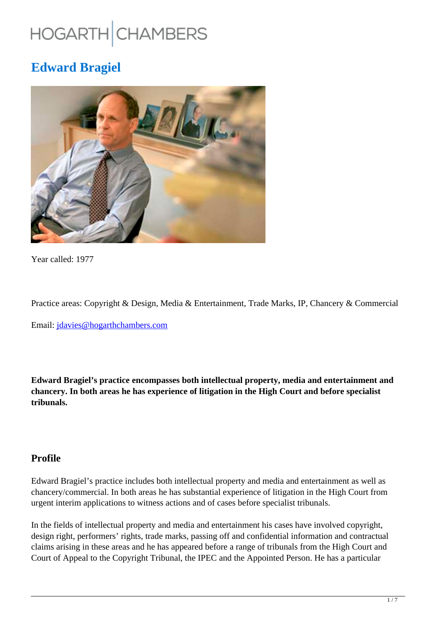# HOGARTH CHAMBERS

## **Edward Bragiel**



Year called: 1977

Practice areas: Copyright & Design, Media & Entertainment, Trade Marks, IP, Chancery & Commercial

Email: jdavies@hogarthchambers.com

**Edward Bragiel's practice encompasses both intellectual property, media and entertainment and chancery. In both areas he has experience of litigation in the High Court and before specialist tribunals.**

## **Profile**

Edward Bragiel's practice includes both intellectual property and media and entertainment as well as chancery/commercial. In both areas he has substantial experience of litigation in the High Court from urgent interim applications to witness actions and of cases before specialist tribunals.

In the fields of intellectual property and media and entertainment his cases have involved copyright, design right, performers' rights, trade marks, passing off and confidential information and contractual claims arising in these areas and he has appeared before a range of tribunals from the High Court and Court of Appeal to the Copyright Tribunal, the IPEC and the Appointed Person. He has a particular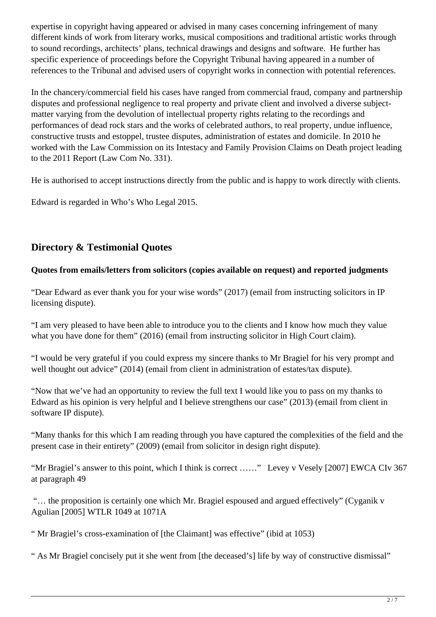expertise in copyright having appeared or advised in many cases concerning infringement of many different kinds of work from literary works, musical compositions and traditional artistic works through to sound recordings, architects' plans, technical drawings and designs and software. He further has specific experience of proceedings before the Copyright Tribunal having appeared in a number of references to the Tribunal and advised users of copyright works in connection with potential references.

In the chancery/commercial field his cases have ranged from commercial fraud, company and partnership disputes and professional negligence to real property and private client and involved a diverse subjectmatter varying from the devolution of intellectual property rights relating to the recordings and performances of dead rock stars and the works of celebrated authors, to real property, undue influence, constructive trusts and estoppel, trustee disputes, administration of estates and domicile. In 2010 he worked with the Law Commission on its Intestacy and Family Provision Claims on Death project leading to the 2011 Report (Law Com No. 331).

He is authorised to accept instructions directly from the public and is happy to work directly with clients.

Edward is regarded in Who's Who Legal 2015.

## **Directory & Testimonial Quotes**

## **Quotes from emails/letters from solicitors (copies available on request) and reported judgments**

"Dear Edward as ever thank you for your wise words" (2017) (email from instructing solicitors in IP licensing dispute).

"I am very pleased to have been able to introduce you to the clients and I know how much they value what you have done for them" (2016) (email from instructing solicitor in High Court claim).

"I would be very grateful if you could express my sincere thanks to Mr Bragiel for his very prompt and well thought out advice" (2014) (email from client in administration of estates/tax dispute).

"Now that we've had an opportunity to review the full text I would like you to pass on my thanks to Edward as his opinion is very helpful and I believe strengthens our case" (2013) (email from client in software IP dispute).

"Many thanks for this which I am reading through you have captured the complexities of the field and the present case in their entirety" (2009) (email from solicitor in design right dispute).

"Mr Bragiel's answer to this point, which I think is correct ……" Levey v Vesely [2007] EWCA CIv 367 at paragraph 49

 "… the proposition is certainly one which Mr. Bragiel espoused and argued effectively" (Cyganik v Agulian [2005] WTLR 1049 at 1071A

" Mr Bragiel's cross-examination of [the Claimant] was effective" (ibid at 1053)

" As Mr Bragiel concisely put it she went from [the deceased's] life by way of constructive dismissal"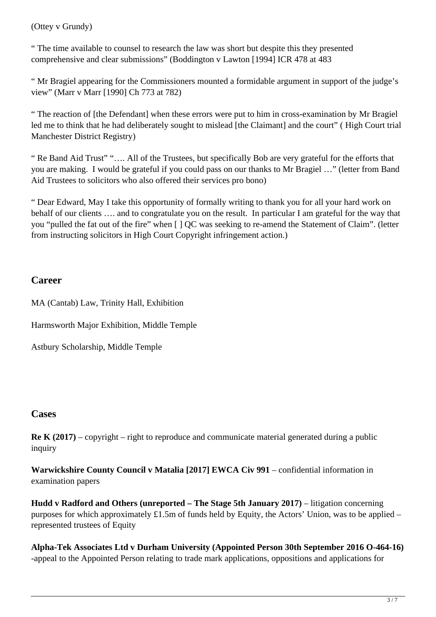#### (Ottey v Grundy)

" The time available to counsel to research the law was short but despite this they presented comprehensive and clear submissions" (Boddington v Lawton [1994] ICR 478 at 483

" Mr Bragiel appearing for the Commissioners mounted a formidable argument in support of the judge's view" (Marr v Marr [1990] Ch 773 at 782)

" The reaction of [the Defendant] when these errors were put to him in cross-examination by Mr Bragiel led me to think that he had deliberately sought to mislead [the Claimant] and the court" (High Court trial Manchester District Registry)

" Re Band Aid Trust" "…. All of the Trustees, but specifically Bob are very grateful for the efforts that you are making. I would be grateful if you could pass on our thanks to Mr Bragiel …" (letter from Band Aid Trustees to solicitors who also offered their services pro bono)

" Dear Edward, May I take this opportunity of formally writing to thank you for all your hard work on behalf of our clients …. and to congratulate you on the result. In particular I am grateful for the way that you "pulled the fat out of the fire" when [ ] QC was seeking to re-amend the Statement of Claim". (letter from instructing solicitors in High Court Copyright infringement action.)

## **Career**

MA (Cantab) Law, Trinity Hall, Exhibition

Harmsworth Major Exhibition, Middle Temple

Astbury Scholarship, Middle Temple

## **Cases**

**Re K (2017)** – copyright – right to reproduce and communicate material generated during a public inquiry

**Warwickshire County Council v Matalia [2017] EWCA Civ 991** – confidential information in examination papers

**Hudd v Radford and Others (unreported – The Stage 5th January 2017)** – litigation concerning purposes for which approximately £1.5m of funds held by Equity, the Actors' Union, was to be applied – represented trustees of Equity

**Alpha-Tek Associates Ltd v Durham University (Appointed Person 30th September 2016 O-464-16)** -appeal to the Appointed Person relating to trade mark applications, oppositions and applications for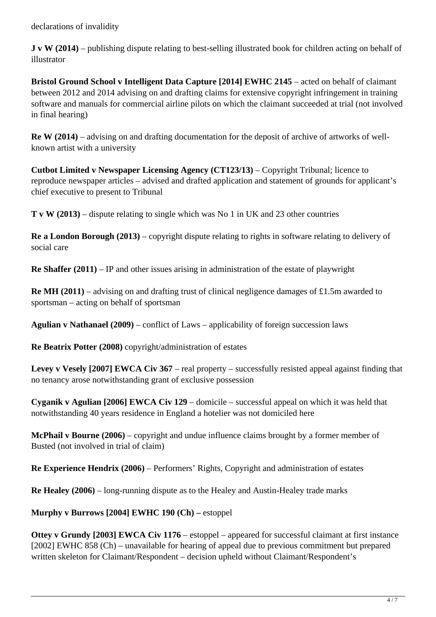declarations of invalidity

**J v W (2014)** – publishing dispute relating to best-selling illustrated book for children acting on behalf of illustrator

**Bristol Ground School v Intelligent Data Capture [2014] EWHC 2145** – acted on behalf of claimant between 2012 and 2014 advising on and drafting claims for extensive copyright infringement in training software and manuals for commercial airline pilots on which the claimant succeeded at trial (not involved in final hearing)

**Re W (2014)** – advising on and drafting documentation for the deposit of archive of artworks of wellknown artist with a university

**Cutbot Limited v Newspaper Licensing Agency (CT123/13)** – Copyright Tribunal; licence to reproduce newspaper articles – advised and drafted application and statement of grounds for applicant's chief executive to present to Tribunal

**T v W (2013)** – dispute relating to single which was No 1 in UK and 23 other countries

**Re a London Borough (2013)** – copyright dispute relating to rights in software relating to delivery of social care

**Re Shaffer (2011)** – IP and other issues arising in administration of the estate of playwright

**Re MH (2011)** – advising on and drafting trust of clinical negligence damages of £1.5m awarded to sportsman – acting on behalf of sportsman

**Agulian v Nathanael (2009)** – conflict of Laws – applicability of foreign succession laws

**Re Beatrix Potter (2008)** copyright/administration of estates

**Levey v Vesely [2007] EWCA Civ 367** – real property – successfully resisted appeal against finding that no tenancy arose notwithstanding grant of exclusive possession

**Cyganik v Agulian [2006] EWCA Civ 129** – domicile – successful appeal on which it was held that notwithstanding 40 years residence in England a hotelier was not domiciled here

**McPhail v Bourne (2006)** – copyright and undue influence claims brought by a former member of Busted (not involved in trial of claim)

**Re Experience Hendrix (2006)** – Performers' Rights, Copyright and administration of estates

**Re Healey (2006)** – long-running dispute as to the Healey and Austin-Healey trade marks

**Murphy v Burrows [2004] EWHC 190 (Ch) –** estoppel

**Ottey v Grundy [2003] EWCA Civ 1176** – estoppel – appeared for successful claimant at first instance [2002] EWHC 858 (Ch) – unavailable for hearing of appeal due to previous commitment but prepared written skeleton for Claimant/Respondent – decision upheld without Claimant/Respondent's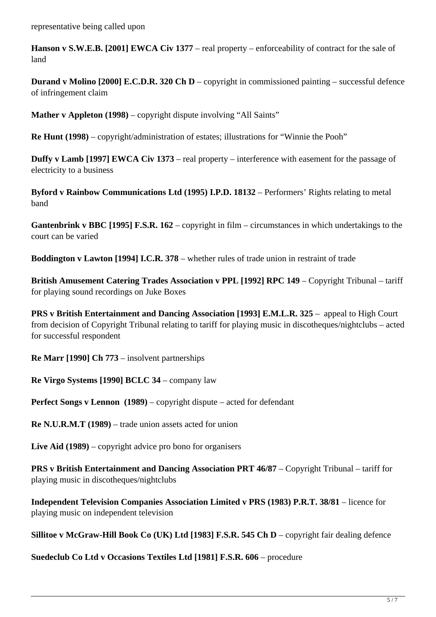**Hanson v S.W.E.B. [2001] EWCA Civ 1377** – real property – enforceability of contract for the sale of land

**Durand v Molino [2000] E.C.D.R. 320 Ch D** – copyright in commissioned painting – successful defence of infringement claim

**Mather v Appleton (1998)** – copyright dispute involving "All Saints"

**Re Hunt (1998)** – copyright/administration of estates; illustrations for "Winnie the Pooh"

**Duffy v Lamb [1997] EWCA Civ 1373** – real property – interference with easement for the passage of electricity to a business

**Byford v Rainbow Communications Ltd (1995) I.P.D. 18132** – Performers' Rights relating to metal band

**Gantenbrink v BBC [1995] F.S.R. 162** – copyright in film – circumstances in which undertakings to the court can be varied

**Boddington v Lawton [1994] I.C.R. 378** – whether rules of trade union in restraint of trade

**British Amusement Catering Trades Association v PPL [1992] RPC 149** – Copyright Tribunal – tariff for playing sound recordings on Juke Boxes

**PRS v British Entertainment and Dancing Association [1993] E.M.L.R. 325** – appeal to High Court from decision of Copyright Tribunal relating to tariff for playing music in discotheques/nightclubs – acted for successful respondent

**Re Marr [1990] Ch 773** – insolvent partnerships

**Re Virgo Systems [1990] BCLC 34** – company law

**Perfect Songs v Lennon (1989)** – copyright dispute – acted for defendant

**Re N.U.R.M.T (1989)** – trade union assets acted for union

**Live Aid (1989)** – copyright advice pro bono for organisers

**PRS v British Entertainment and Dancing Association PRT 46/87** – Copyright Tribunal – tariff for playing music in discotheques/nightclubs

**Independent Television Companies Association Limited v PRS (1983) P.R.T. 38/81** – licence for playing music on independent television

**Sillitoe v McGraw-Hill Book Co (UK) Ltd [1983] F.S.R. 545 Ch D** – copyright fair dealing defence

**Suedeclub Co Ltd v Occasions Textiles Ltd [1981] F.S.R. 606** – procedure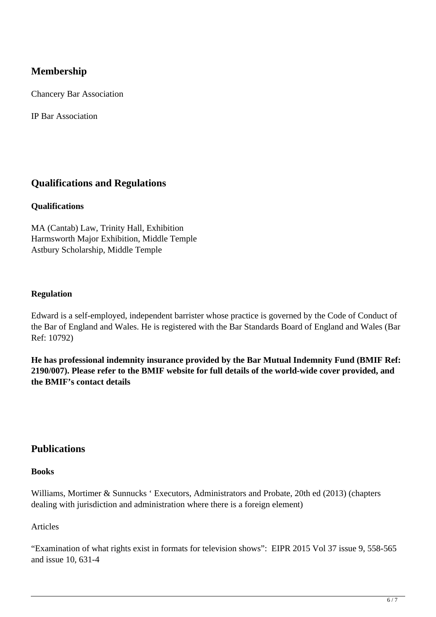## **Membership**

Chancery Bar Association

IP Bar Association

## **Qualifications and Regulations**

#### **Qualifications**

MA (Cantab) Law, Trinity Hall, Exhibition Harmsworth Major Exhibition, Middle Temple Astbury Scholarship, Middle Temple

#### **Regulation**

Edward is a self-employed, independent barrister whose practice is governed by the Code of Conduct of the Bar of England and Wales. He is registered with the Bar Standards Board of England and Wales (Bar Ref: 10792)

**He has professional indemnity insurance provided by the Bar Mutual Indemnity Fund (BMIF Ref: 2190/007). Please refer to the BMIF website for full details of the world-wide cover provided, and the BMIF's contact details**

## **Publications**

#### **Books**

Williams, Mortimer & Sunnucks ' Executors, Administrators and Probate, 20th ed (2013) (chapters dealing with jurisdiction and administration where there is a foreign element)

#### Articles

"Examination of what rights exist in formats for television shows": EIPR 2015 Vol 37 issue 9, 558-565 and issue 10, 631-4